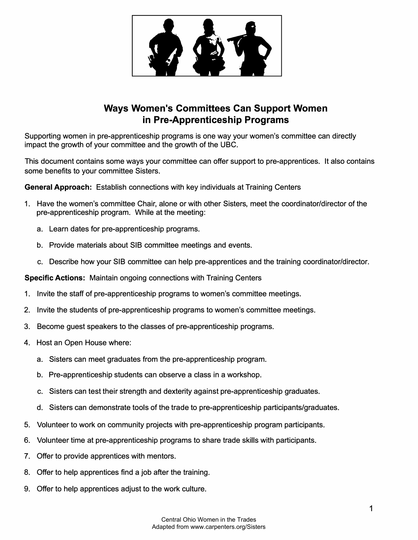

## **Ways Women's Committees Can Support Women in Pre-Apprenticeship Programs**

Supporting women in pre-apprenticeship programs is one way your women's committee can directly impact the growth of your committee and the growth of the UBC.

This document contains some ways your committee can offer support to pre-apprentices. It also contains some benefits to your committee Sisters.

**General Approach:** Establish connections with key individuals at Training Centers

- 1. Have the women's committee Chair, alone or with other Sisters, meet the coordinator/director of the pre-apprenticeship program. While at the meeting:
	- a. Learn dates for pre-apprenticeship programs.
	- b. Provide materials about SIB committee meetings and events.
	- c. Describe how your SIB committee can help pre-apprentices and the training coordinator/director.

**Specific Actions:** Maintain ongoing connections with Training Centers

- 1. Invite the staff of pre-apprenticeship programs to women's committee meetings.
- 2. Invite the students of pre-apprenticeship programs to women's committee meetings.
- 3. Become guest speakers to the classes of pre-apprenticeship programs.
- 4. Host an Open House where:
	- a. Sisters can meet graduates from the pre-apprenticeship program.
	- b. Pre-apprenticeship students can observe a class in a workshop.
	- c. Sisters can test their strength and dexterity against pre-apprenticeship graduates.
	- d. Sisters can demonstrate tools of the trade to pre-apprenticeship participants/graduates.
- 5. Volunteer to work on community projects with pre-apprenticeship program participants.
- 6. Volunteer time at pre-apprenticeship programs to share trade skills with participants.
- 7. Offer to provide apprentices with mentors.
- 8. Offer to help apprentices find a job after the training.
- 9. Offer to help apprentices adjust to the work culture.